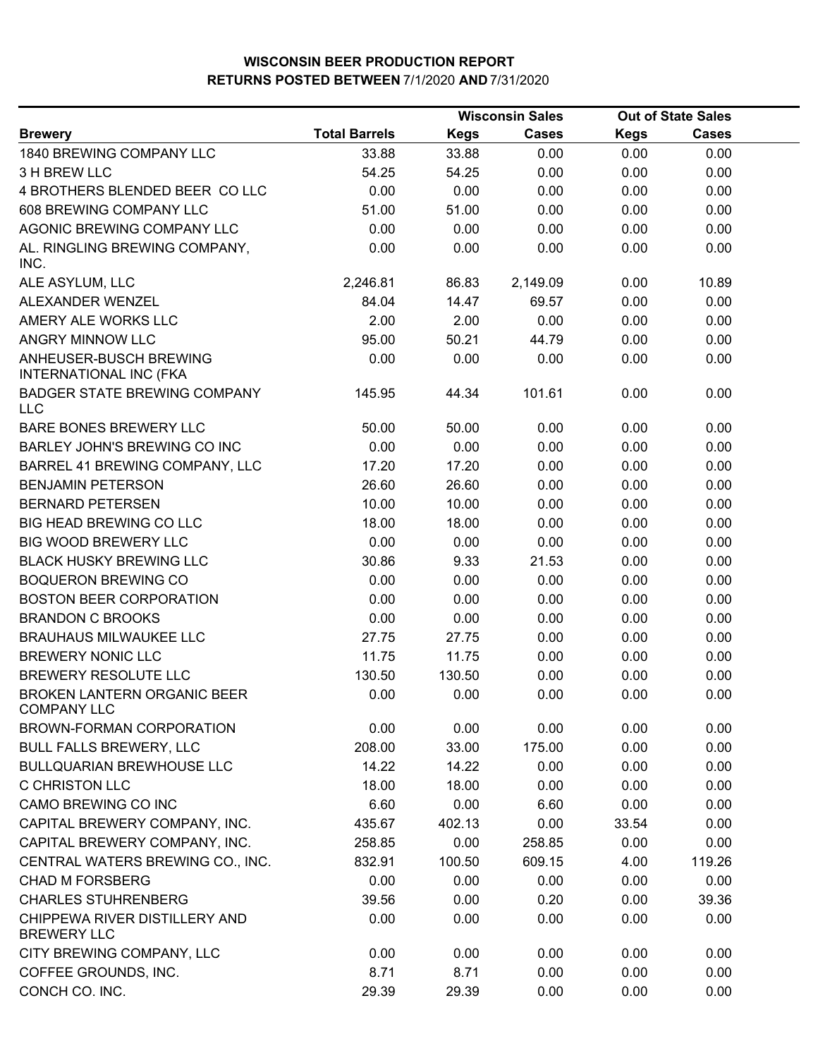|                                                          | <b>Wisconsin Sales</b> |        |              | <b>Out of State Sales</b> |              |  |
|----------------------------------------------------------|------------------------|--------|--------------|---------------------------|--------------|--|
| <b>Brewery</b>                                           | <b>Total Barrels</b>   | Kegs   | <b>Cases</b> | <b>Kegs</b>               | <b>Cases</b> |  |
| 1840 BREWING COMPANY LLC                                 | 33.88                  | 33.88  | 0.00         | 0.00                      | 0.00         |  |
| 3 H BREW LLC                                             | 54.25                  | 54.25  | 0.00         | 0.00                      | 0.00         |  |
| 4 BROTHERS BLENDED BEER COLLC                            | 0.00                   | 0.00   | 0.00         | 0.00                      | 0.00         |  |
| 608 BREWING COMPANY LLC                                  | 51.00                  | 51.00  | 0.00         | 0.00                      | 0.00         |  |
| AGONIC BREWING COMPANY LLC                               | 0.00                   | 0.00   | 0.00         | 0.00                      | 0.00         |  |
| AL. RINGLING BREWING COMPANY,<br>INC.                    | 0.00                   | 0.00   | 0.00         | 0.00                      | 0.00         |  |
| ALE ASYLUM, LLC                                          | 2,246.81               | 86.83  | 2,149.09     | 0.00                      | 10.89        |  |
| ALEXANDER WENZEL                                         | 84.04                  | 14.47  | 69.57        | 0.00                      | 0.00         |  |
| AMERY ALE WORKS LLC                                      | 2.00                   | 2.00   | 0.00         | 0.00                      | 0.00         |  |
| ANGRY MINNOW LLC                                         | 95.00                  | 50.21  | 44.79        | 0.00                      | 0.00         |  |
| ANHEUSER-BUSCH BREWING<br><b>INTERNATIONAL INC (FKA</b>  | 0.00                   | 0.00   | 0.00         | 0.00                      | 0.00         |  |
| <b>BADGER STATE BREWING COMPANY</b><br><b>LLC</b>        | 145.95                 | 44.34  | 101.61       | 0.00                      | 0.00         |  |
| <b>BARE BONES BREWERY LLC</b>                            | 50.00                  | 50.00  | 0.00         | 0.00                      | 0.00         |  |
| BARLEY JOHN'S BREWING CO INC                             | 0.00                   | 0.00   | 0.00         | 0.00                      | 0.00         |  |
| BARREL 41 BREWING COMPANY, LLC                           | 17.20                  | 17.20  | 0.00         | 0.00                      | 0.00         |  |
| <b>BENJAMIN PETERSON</b>                                 | 26.60                  | 26.60  | 0.00         | 0.00                      | 0.00         |  |
| <b>BERNARD PETERSEN</b>                                  | 10.00                  | 10.00  | 0.00         | 0.00                      | 0.00         |  |
| <b>BIG HEAD BREWING CO LLC</b>                           | 18.00                  | 18.00  | 0.00         | 0.00                      | 0.00         |  |
| <b>BIG WOOD BREWERY LLC</b>                              | 0.00                   | 0.00   | 0.00         | 0.00                      | 0.00         |  |
| <b>BLACK HUSKY BREWING LLC</b>                           | 30.86                  | 9.33   | 21.53        | 0.00                      | 0.00         |  |
| <b>BOQUERON BREWING CO</b>                               | 0.00                   | 0.00   | 0.00         | 0.00                      | 0.00         |  |
| <b>BOSTON BEER CORPORATION</b>                           | 0.00                   | 0.00   | 0.00         | 0.00                      | 0.00         |  |
| <b>BRANDON C BROOKS</b>                                  | 0.00                   | 0.00   | 0.00         | 0.00                      | 0.00         |  |
| <b>BRAUHAUS MILWAUKEE LLC</b>                            | 27.75                  | 27.75  | 0.00         | 0.00                      | 0.00         |  |
| <b>BREWERY NONIC LLC</b>                                 | 11.75                  | 11.75  | 0.00         | 0.00                      | 0.00         |  |
| <b>BREWERY RESOLUTE LLC</b>                              | 130.50                 | 130.50 | 0.00         | 0.00                      | 0.00         |  |
| <b>BROKEN LANTERN ORGANIC BEER</b><br><b>COMPANY LLC</b> | 0.00                   | 0.00   | 0.00         | 0.00                      | 0.00         |  |
| BROWN-FORMAN CORPORATION                                 | 0.00                   | 0.00   | 0.00         | 0.00                      | 0.00         |  |
| <b>BULL FALLS BREWERY, LLC</b>                           | 208.00                 | 33.00  | 175.00       | 0.00                      | 0.00         |  |
| <b>BULLQUARIAN BREWHOUSE LLC</b>                         | 14.22                  | 14.22  | 0.00         | 0.00                      | 0.00         |  |
| <b>C CHRISTON LLC</b>                                    | 18.00                  | 18.00  | 0.00         | 0.00                      | 0.00         |  |
| CAMO BREWING CO INC                                      | 6.60                   | 0.00   | 6.60         | 0.00                      | 0.00         |  |
| CAPITAL BREWERY COMPANY, INC.                            | 435.67                 | 402.13 | 0.00         | 33.54                     | 0.00         |  |
| CAPITAL BREWERY COMPANY, INC.                            | 258.85                 | 0.00   | 258.85       | 0.00                      | 0.00         |  |
| CENTRAL WATERS BREWING CO., INC.                         | 832.91                 | 100.50 | 609.15       | 4.00                      | 119.26       |  |
| <b>CHAD M FORSBERG</b>                                   | 0.00                   | 0.00   | 0.00         | 0.00                      | 0.00         |  |
| <b>CHARLES STUHRENBERG</b>                               | 39.56                  | 0.00   | 0.20         | 0.00                      | 39.36        |  |
| CHIPPEWA RIVER DISTILLERY AND<br><b>BREWERY LLC</b>      | 0.00                   | 0.00   | 0.00         | 0.00                      | 0.00         |  |
| CITY BREWING COMPANY, LLC                                | 0.00                   | 0.00   | 0.00         | 0.00                      | 0.00         |  |
| COFFEE GROUNDS, INC.                                     | 8.71                   | 8.71   | 0.00         | 0.00                      | 0.00         |  |
| CONCH CO. INC.                                           | 29.39                  | 29.39  | 0.00         | 0.00                      | 0.00         |  |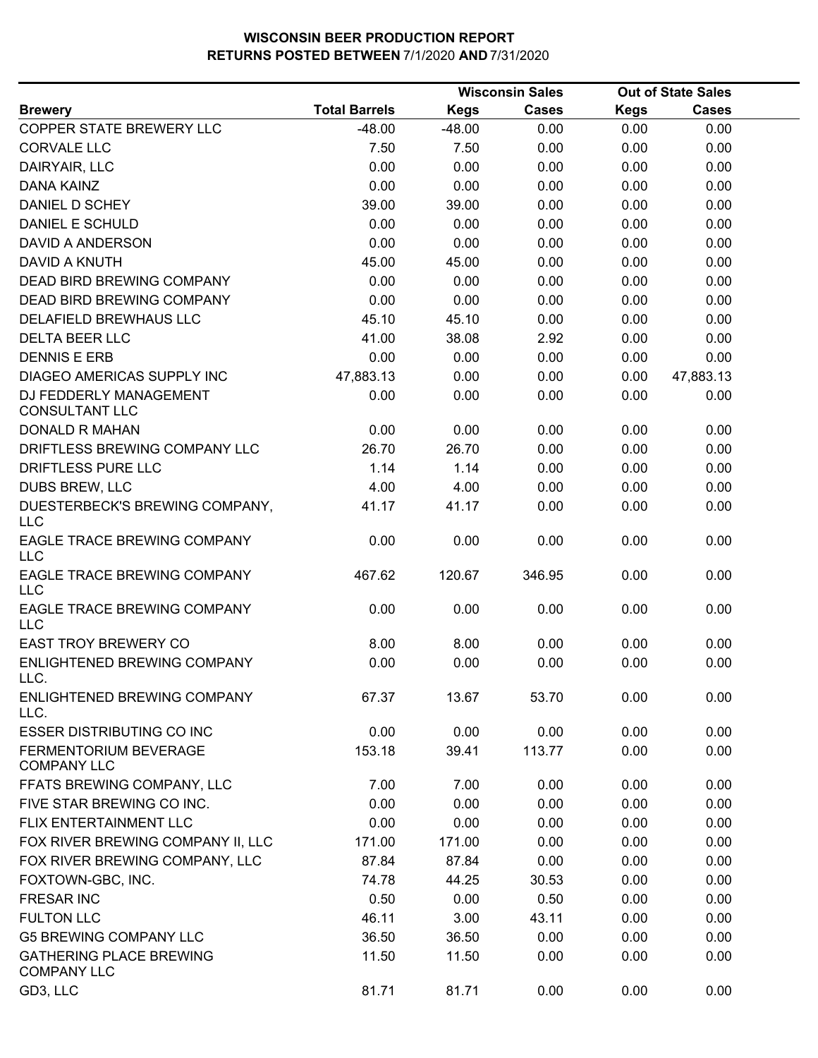|                                                      |                      | <b>Wisconsin Sales</b> |              |             | <b>Out of State Sales</b> |
|------------------------------------------------------|----------------------|------------------------|--------------|-------------|---------------------------|
| <b>Brewery</b>                                       | <b>Total Barrels</b> | <b>Kegs</b>            | <b>Cases</b> | <b>Kegs</b> | <b>Cases</b>              |
| COPPER STATE BREWERY LLC                             | $-48.00$             | $-48.00$               | 0.00         | 0.00        | 0.00                      |
| <b>CORVALE LLC</b>                                   | 7.50                 | 7.50                   | 0.00         | 0.00        | 0.00                      |
| DAIRYAIR, LLC                                        | 0.00                 | 0.00                   | 0.00         | 0.00        | 0.00                      |
| <b>DANA KAINZ</b>                                    | 0.00                 | 0.00                   | 0.00         | 0.00        | 0.00                      |
| DANIEL D SCHEY                                       | 39.00                | 39.00                  | 0.00         | 0.00        | 0.00                      |
| <b>DANIEL E SCHULD</b>                               | 0.00                 | 0.00                   | 0.00         | 0.00        | 0.00                      |
| <b>DAVID A ANDERSON</b>                              | 0.00                 | 0.00                   | 0.00         | 0.00        | 0.00                      |
| <b>DAVID A KNUTH</b>                                 | 45.00                | 45.00                  | 0.00         | 0.00        | 0.00                      |
| DEAD BIRD BREWING COMPANY                            | 0.00                 | 0.00                   | 0.00         | 0.00        | 0.00                      |
| DEAD BIRD BREWING COMPANY                            | 0.00                 | 0.00                   | 0.00         | 0.00        | 0.00                      |
| DELAFIELD BREWHAUS LLC                               | 45.10                | 45.10                  | 0.00         | 0.00        | 0.00                      |
| <b>DELTA BEER LLC</b>                                | 41.00                | 38.08                  | 2.92         | 0.00        | 0.00                      |
| <b>DENNIS E ERB</b>                                  | 0.00                 | 0.00                   | 0.00         | 0.00        | 0.00                      |
| <b>DIAGEO AMERICAS SUPPLY INC</b>                    | 47,883.13            | 0.00                   | 0.00         | 0.00        | 47,883.13                 |
| DJ FEDDERLY MANAGEMENT<br><b>CONSULTANT LLC</b>      | 0.00                 | 0.00                   | 0.00         | 0.00        | 0.00                      |
| <b>DONALD R MAHAN</b>                                | 0.00                 | 0.00                   | 0.00         | 0.00        | 0.00                      |
| DRIFTLESS BREWING COMPANY LLC                        | 26.70                | 26.70                  | 0.00         | 0.00        | 0.00                      |
| DRIFTLESS PURE LLC                                   | 1.14                 | 1.14                   | 0.00         | 0.00        | 0.00                      |
| DUBS BREW, LLC                                       | 4.00                 | 4.00                   | 0.00         | 0.00        | 0.00                      |
| DUESTERBECK'S BREWING COMPANY,<br><b>LLC</b>         | 41.17                | 41.17                  | 0.00         | 0.00        | 0.00                      |
| EAGLE TRACE BREWING COMPANY<br><b>LLC</b>            | 0.00                 | 0.00                   | 0.00         | 0.00        | 0.00                      |
| EAGLE TRACE BREWING COMPANY<br>LLC                   | 467.62               | 120.67                 | 346.95       | 0.00        | 0.00                      |
| EAGLE TRACE BREWING COMPANY<br><b>LLC</b>            | 0.00                 | 0.00                   | 0.00         | 0.00        | 0.00                      |
| <b>EAST TROY BREWERY CO</b>                          | 8.00                 | 8.00                   | 0.00         | 0.00        | 0.00                      |
| ENLIGHTENED BREWING COMPANY<br>LLC.                  | 0.00                 | 0.00                   | 0.00         | 0.00        | 0.00                      |
| ENLIGHTENED BREWING COMPANY<br>LLC.                  | 67.37                | 13.67                  | 53.70        | 0.00        | 0.00                      |
| <b>ESSER DISTRIBUTING CO INC</b>                     | 0.00                 | 0.00                   | 0.00         | 0.00        | 0.00                      |
| FERMENTORIUM BEVERAGE<br><b>COMPANY LLC</b>          | 153.18               | 39.41                  | 113.77       | 0.00        | 0.00                      |
| FFATS BREWING COMPANY, LLC                           | 7.00                 | 7.00                   | 0.00         | 0.00        | 0.00                      |
| FIVE STAR BREWING CO INC.                            | 0.00                 | 0.00                   | 0.00         | 0.00        | 0.00                      |
| FLIX ENTERTAINMENT LLC                               | 0.00                 | 0.00                   | 0.00         | 0.00        | 0.00                      |
| FOX RIVER BREWING COMPANY II, LLC                    | 171.00               | 171.00                 | 0.00         | 0.00        | 0.00                      |
| FOX RIVER BREWING COMPANY, LLC                       | 87.84                | 87.84                  | 0.00         | 0.00        | 0.00                      |
| FOXTOWN-GBC, INC.                                    | 74.78                | 44.25                  | 30.53        | 0.00        | 0.00                      |
| <b>FRESAR INC</b>                                    | 0.50                 | 0.00                   | 0.50         | 0.00        | 0.00                      |
| <b>FULTON LLC</b>                                    | 46.11                | 3.00                   | 43.11        | 0.00        | 0.00                      |
| <b>G5 BREWING COMPANY LLC</b>                        | 36.50                | 36.50                  | 0.00         | 0.00        | 0.00                      |
| <b>GATHERING PLACE BREWING</b><br><b>COMPANY LLC</b> | 11.50                | 11.50                  | 0.00         | 0.00        | 0.00                      |
| GD3, LLC                                             | 81.71                | 81.71                  | 0.00         | 0.00        | 0.00                      |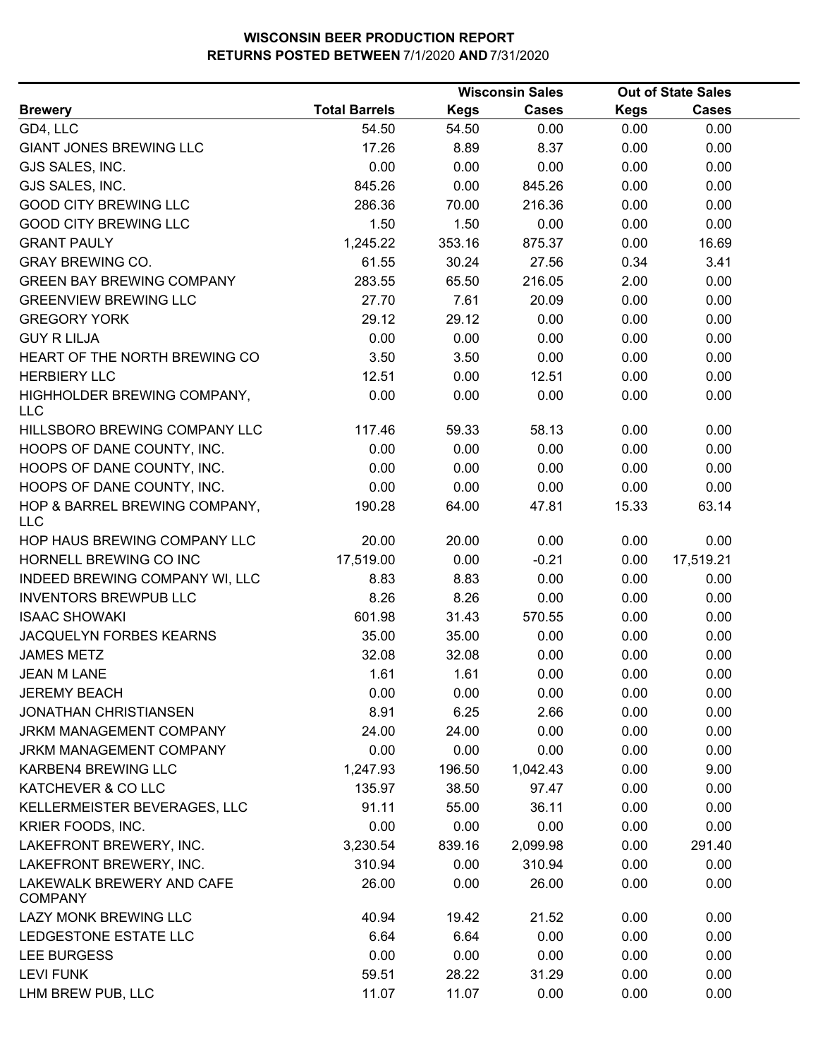|                                             |                      |             | <b>Wisconsin Sales</b> |             | <b>Out of State Sales</b> |  |
|---------------------------------------------|----------------------|-------------|------------------------|-------------|---------------------------|--|
| <b>Brewery</b>                              | <b>Total Barrels</b> | <b>Kegs</b> | <b>Cases</b>           | <b>Kegs</b> | <b>Cases</b>              |  |
| GD4, LLC                                    | 54.50                | 54.50       | 0.00                   | 0.00        | 0.00                      |  |
| <b>GIANT JONES BREWING LLC</b>              | 17.26                | 8.89        | 8.37                   | 0.00        | 0.00                      |  |
| GJS SALES, INC.                             | 0.00                 | 0.00        | 0.00                   | 0.00        | 0.00                      |  |
| GJS SALES, INC.                             | 845.26               | 0.00        | 845.26                 | 0.00        | 0.00                      |  |
| <b>GOOD CITY BREWING LLC</b>                | 286.36               | 70.00       | 216.36                 | 0.00        | 0.00                      |  |
| <b>GOOD CITY BREWING LLC</b>                | 1.50                 | 1.50        | 0.00                   | 0.00        | 0.00                      |  |
| <b>GRANT PAULY</b>                          | 1,245.22             | 353.16      | 875.37                 | 0.00        | 16.69                     |  |
| <b>GRAY BREWING CO.</b>                     | 61.55                | 30.24       | 27.56                  | 0.34        | 3.41                      |  |
| <b>GREEN BAY BREWING COMPANY</b>            | 283.55               | 65.50       | 216.05                 | 2.00        | 0.00                      |  |
| <b>GREENVIEW BREWING LLC</b>                | 27.70                | 7.61        | 20.09                  | 0.00        | 0.00                      |  |
| <b>GREGORY YORK</b>                         | 29.12                | 29.12       | 0.00                   | 0.00        | 0.00                      |  |
| <b>GUY R LILJA</b>                          | 0.00                 | 0.00        | 0.00                   | 0.00        | 0.00                      |  |
| HEART OF THE NORTH BREWING CO               | 3.50                 | 3.50        | 0.00                   | 0.00        | 0.00                      |  |
| <b>HERBIERY LLC</b>                         | 12.51                | 0.00        | 12.51                  | 0.00        | 0.00                      |  |
| HIGHHOLDER BREWING COMPANY,<br><b>LLC</b>   | 0.00                 | 0.00        | 0.00                   | 0.00        | 0.00                      |  |
| HILLSBORO BREWING COMPANY LLC               | 117.46               | 59.33       | 58.13                  | 0.00        | 0.00                      |  |
| HOOPS OF DANE COUNTY, INC.                  | 0.00                 | 0.00        | 0.00                   | 0.00        | 0.00                      |  |
| HOOPS OF DANE COUNTY, INC.                  | 0.00                 | 0.00        | 0.00                   | 0.00        | 0.00                      |  |
| HOOPS OF DANE COUNTY, INC.                  | 0.00                 | 0.00        | 0.00                   | 0.00        | 0.00                      |  |
| HOP & BARREL BREWING COMPANY,<br><b>LLC</b> | 190.28               | 64.00       | 47.81                  | 15.33       | 63.14                     |  |
| HOP HAUS BREWING COMPANY LLC                | 20.00                | 20.00       | 0.00                   | 0.00        | 0.00                      |  |
| HORNELL BREWING CO INC                      | 17,519.00            | 0.00        | $-0.21$                | 0.00        | 17,519.21                 |  |
| INDEED BREWING COMPANY WI, LLC              | 8.83                 | 8.83        | 0.00                   | 0.00        | 0.00                      |  |
| <b>INVENTORS BREWPUB LLC</b>                | 8.26                 | 8.26        | 0.00                   | 0.00        | 0.00                      |  |
| <b>ISAAC SHOWAKI</b>                        | 601.98               | 31.43       | 570.55                 | 0.00        | 0.00                      |  |
| JACQUELYN FORBES KEARNS                     | 35.00                | 35.00       | 0.00                   | 0.00        | 0.00                      |  |
| <b>JAMES METZ</b>                           | 32.08                | 32.08       | 0.00                   | 0.00        | 0.00                      |  |
| <b>JEAN M LANE</b>                          | 1.61                 | 1.61        | 0.00                   | 0.00        | 0.00                      |  |
| <b>JEREMY BEACH</b>                         | 0.00                 | 0.00        | 0.00                   | 0.00        | 0.00                      |  |
| <b>JONATHAN CHRISTIANSEN</b>                | 8.91                 | 6.25        | 2.66                   | 0.00        | 0.00                      |  |
| JRKM MANAGEMENT COMPANY                     | 24.00                | 24.00       | 0.00                   | 0.00        | 0.00                      |  |
| JRKM MANAGEMENT COMPANY                     | 0.00                 | 0.00        | 0.00                   | 0.00        | 0.00                      |  |
| KARBEN4 BREWING LLC                         | 1,247.93             | 196.50      | 1,042.43               | 0.00        | 9.00                      |  |
| KATCHEVER & CO LLC                          | 135.97               | 38.50       | 97.47                  | 0.00        | 0.00                      |  |
| KELLERMEISTER BEVERAGES, LLC                | 91.11                | 55.00       | 36.11                  | 0.00        | 0.00                      |  |
| KRIER FOODS, INC.                           | 0.00                 | 0.00        | 0.00                   | 0.00        | 0.00                      |  |
|                                             |                      |             |                        |             |                           |  |
| LAKEFRONT BREWERY, INC.                     | 3,230.54             | 839.16      | 2,099.98               | 0.00        | 291.40                    |  |
| LAKEFRONT BREWERY, INC.                     | 310.94               | 0.00        | 310.94                 | 0.00        | 0.00                      |  |
| LAKEWALK BREWERY AND CAFE<br><b>COMPANY</b> | 26.00                | 0.00        | 26.00                  | 0.00        | 0.00                      |  |
| LAZY MONK BREWING LLC                       | 40.94                | 19.42       | 21.52                  | 0.00        | 0.00                      |  |
| LEDGESTONE ESTATE LLC                       | 6.64                 | 6.64        | 0.00                   | 0.00        | 0.00                      |  |
| LEE BURGESS                                 | 0.00                 | 0.00        | 0.00                   | 0.00        | 0.00                      |  |
| <b>LEVI FUNK</b>                            | 59.51                | 28.22       | 31.29                  | 0.00        | 0.00                      |  |
| LHM BREW PUB, LLC                           | 11.07                | 11.07       | 0.00                   | 0.00        | 0.00                      |  |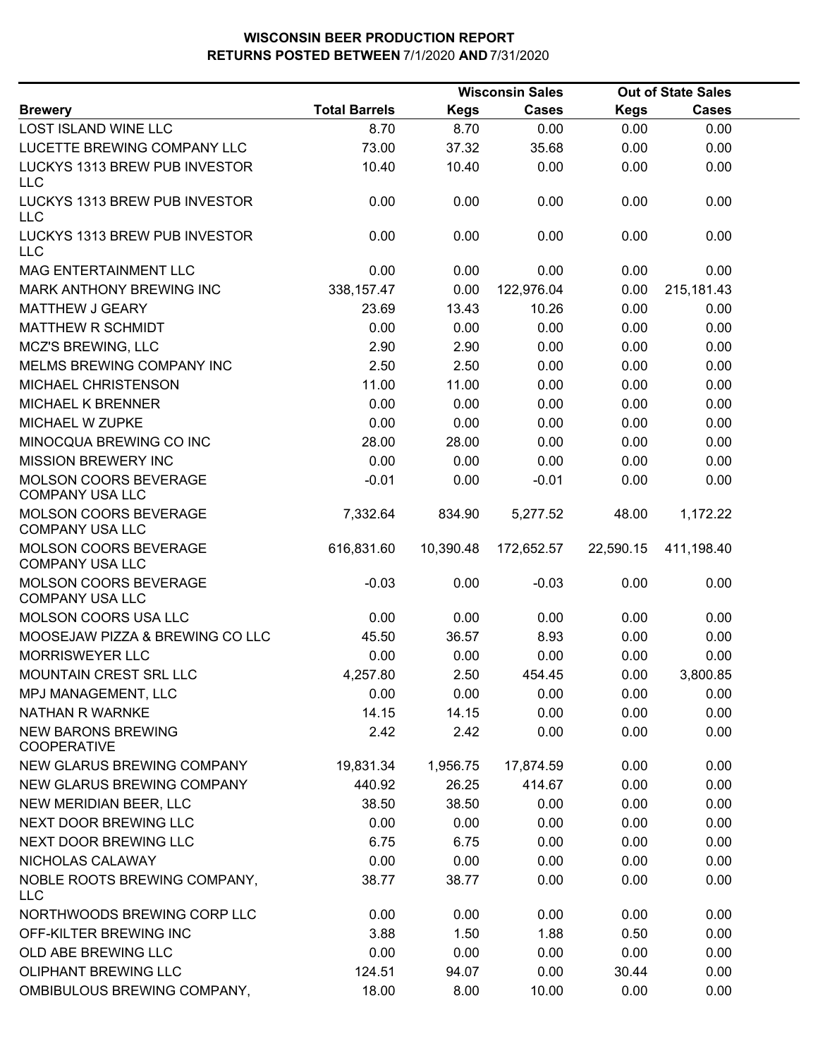|                                                                                                                                                          |                      | <b>Wisconsin Sales</b> |               |               | <b>Out of State Sales</b> |  |  |
|----------------------------------------------------------------------------------------------------------------------------------------------------------|----------------------|------------------------|---------------|---------------|---------------------------|--|--|
| <b>Brewery</b>                                                                                                                                           | <b>Total Barrels</b> | <b>Kegs</b>            | <b>Cases</b>  | <b>Kegs</b>   | <b>Cases</b>              |  |  |
| <b>LOST ISLAND WINE LLC</b>                                                                                                                              | 8.70                 | 8.70                   | 0.00          | 0.00          | 0.00                      |  |  |
| LUCETTE BREWING COMPANY LLC                                                                                                                              | 73.00                | 37.32                  | 35.68         | 0.00          | 0.00                      |  |  |
| LUCKYS 1313 BREW PUB INVESTOR<br><b>LLC</b>                                                                                                              | 10.40                | 10.40                  | 0.00          | 0.00          | 0.00                      |  |  |
| LUCKYS 1313 BREW PUB INVESTOR<br><b>LLC</b>                                                                                                              | 0.00                 | 0.00                   | 0.00          | 0.00          | 0.00                      |  |  |
| LUCKYS 1313 BREW PUB INVESTOR<br><b>LLC</b>                                                                                                              | 0.00                 | 0.00                   | 0.00          | 0.00          | 0.00                      |  |  |
| <b>MAG ENTERTAINMENT LLC</b>                                                                                                                             | 0.00                 | 0.00                   | 0.00          | 0.00          | 0.00                      |  |  |
| MARK ANTHONY BREWING INC                                                                                                                                 | 338, 157.47          | 0.00                   | 122,976.04    | 0.00          | 215, 181. 43              |  |  |
| <b>MATTHEW J GEARY</b>                                                                                                                                   | 23.69                | 13.43                  | 10.26         | 0.00          | 0.00                      |  |  |
| <b>MATTHEW R SCHMIDT</b>                                                                                                                                 | 0.00                 | 0.00                   | 0.00          | 0.00          | 0.00                      |  |  |
| MCZ'S BREWING, LLC                                                                                                                                       | 2.90                 | 2.90                   | 0.00          | 0.00          | 0.00                      |  |  |
| MELMS BREWING COMPANY INC                                                                                                                                | 2.50                 | 2.50                   | 0.00          | 0.00          | 0.00                      |  |  |
| MICHAEL CHRISTENSON                                                                                                                                      | 11.00                | 11.00                  | 0.00          | 0.00          | 0.00                      |  |  |
| <b>MICHAEL K BRENNER</b>                                                                                                                                 | 0.00                 | 0.00                   | 0.00          | 0.00          | 0.00                      |  |  |
| MICHAEL W ZUPKE                                                                                                                                          | 0.00                 | 0.00                   | 0.00          | 0.00          | 0.00                      |  |  |
| MINOCQUA BREWING CO INC                                                                                                                                  | 28.00                | 28.00                  | 0.00          | 0.00          | 0.00                      |  |  |
| <b>MISSION BREWERY INC</b>                                                                                                                               | 0.00                 | 0.00                   | 0.00          | 0.00          | 0.00                      |  |  |
| MOLSON COORS BEVERAGE<br><b>COMPANY USA LLC</b>                                                                                                          | $-0.01$              | 0.00                   | $-0.01$       | 0.00          | 0.00                      |  |  |
| <b>MOLSON COORS BEVERAGE</b><br><b>COMPANY USA LLC</b>                                                                                                   | 7,332.64             | 834.90                 | 5,277.52      | 48.00         | 1,172.22                  |  |  |
| <b>MOLSON COORS BEVERAGE</b><br><b>COMPANY USA LLC</b>                                                                                                   | 616,831.60           | 10,390.48              | 172,652.57    | 22,590.15     | 411,198.40                |  |  |
| MOLSON COORS BEVERAGE<br><b>COMPANY USA LLC</b>                                                                                                          | $-0.03$              | 0.00                   | $-0.03$       | 0.00          | 0.00                      |  |  |
| MOLSON COORS USA LLC                                                                                                                                     | 0.00                 | 0.00                   | 0.00          | 0.00          | 0.00                      |  |  |
| MOOSEJAW PIZZA & BREWING CO LLC                                                                                                                          | 45.50                | 36.57                  | 8.93          | 0.00          | 0.00                      |  |  |
| <b>MORRISWEYER LLC</b>                                                                                                                                   | 0.00                 | 0.00                   | 0.00          | 0.00          | 0.00                      |  |  |
| <b>MOUNTAIN CREST SRL LLC</b>                                                                                                                            | 4,257.80             | 2.50                   | 454.45        | 0.00          | 3,800.85                  |  |  |
| MPJ MANAGEMENT, LLC                                                                                                                                      | 0.00                 | 0.00                   | 0.00          | 0.00          | 0.00                      |  |  |
| NATHAN R WARNKE                                                                                                                                          | 14.15                | 14.15                  | 0.00          | 0.00          | 0.00                      |  |  |
| <b>NEW BARONS BREWING</b><br><b>COOPERATIVE</b>                                                                                                          | 2.42                 | 2.42                   | 0.00          | 0.00          | 0.00                      |  |  |
| NEW GLARUS BREWING COMPANY                                                                                                                               | 19,831.34            | 1,956.75               | 17,874.59     | 0.00          | 0.00                      |  |  |
| NEW GLARUS BREWING COMPANY                                                                                                                               | 440.92               | 26.25                  | 414.67        | 0.00          | 0.00                      |  |  |
| NEW MERIDIAN BEER, LLC                                                                                                                                   | 38.50                | 38.50                  | 0.00          | 0.00          | 0.00                      |  |  |
| NEXT DOOR BREWING LLC                                                                                                                                    | 0.00                 | 0.00                   | 0.00          | 0.00          | 0.00                      |  |  |
| NEXT DOOR BREWING LLC                                                                                                                                    | 6.75                 | 6.75                   | 0.00          | 0.00          | 0.00                      |  |  |
| NICHOLAS CALAWAY                                                                                                                                         | 0.00                 | 0.00                   | 0.00          | 0.00          | 0.00                      |  |  |
| NOBLE ROOTS BREWING COMPANY,                                                                                                                             | 38.77                | 38.77                  | 0.00          | 0.00          | 0.00                      |  |  |
|                                                                                                                                                          | 0.00                 | 0.00                   | 0.00          | 0.00          | 0.00                      |  |  |
|                                                                                                                                                          | 3.88                 | 1.50                   | 1.88          | 0.50          | 0.00                      |  |  |
|                                                                                                                                                          | 0.00                 | 0.00                   | 0.00          | 0.00          | 0.00                      |  |  |
|                                                                                                                                                          |                      |                        |               |               |                           |  |  |
|                                                                                                                                                          |                      |                        |               |               |                           |  |  |
| <b>LLC</b><br>NORTHWOODS BREWING CORP LLC<br>OFF-KILTER BREWING INC<br>OLD ABE BREWING LLC<br><b>OLIPHANT BREWING LLC</b><br>OMBIBULOUS BREWING COMPANY, | 124.51<br>18.00      | 94.07<br>8.00          | 0.00<br>10.00 | 30.44<br>0.00 | 0.00<br>0.00              |  |  |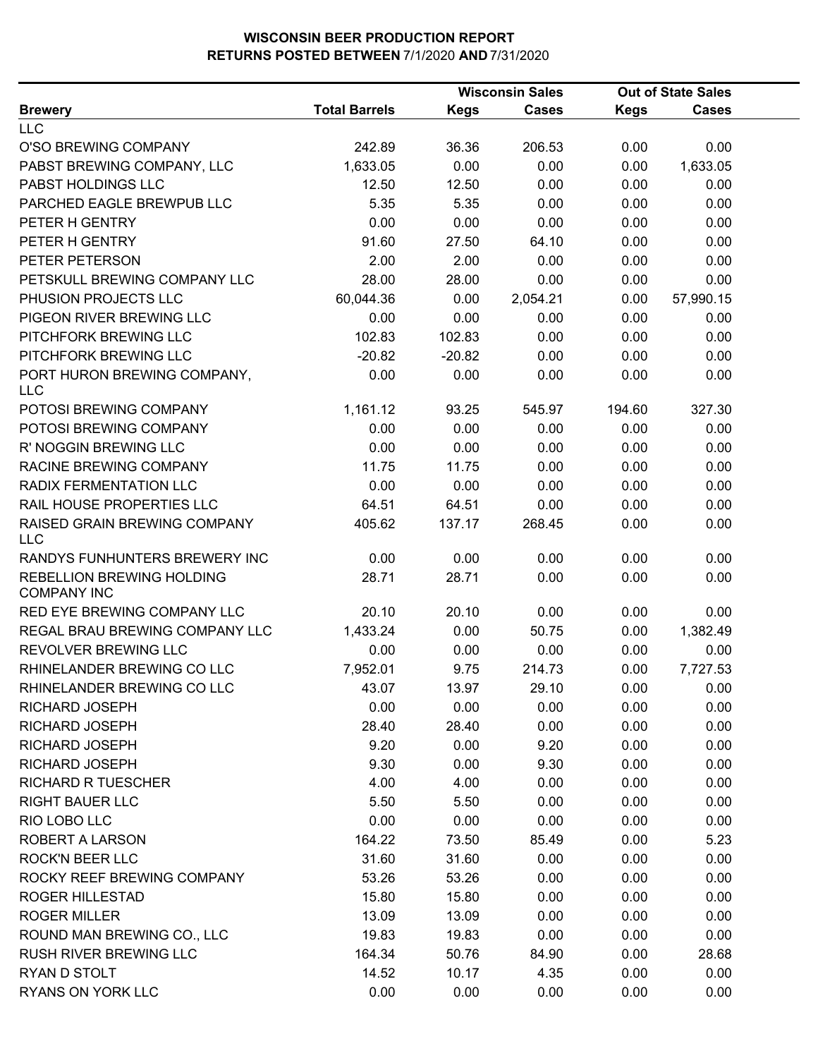|                                                 |                      |             | <b>Wisconsin Sales</b> |             | <b>Out of State Sales</b> |  |
|-------------------------------------------------|----------------------|-------------|------------------------|-------------|---------------------------|--|
| <b>Brewery</b>                                  | <b>Total Barrels</b> | <b>Kegs</b> | <b>Cases</b>           | <b>Kegs</b> | Cases                     |  |
| <b>LLC</b>                                      |                      |             |                        |             |                           |  |
| O'SO BREWING COMPANY                            | 242.89               | 36.36       | 206.53                 | 0.00        | 0.00                      |  |
| PABST BREWING COMPANY, LLC                      | 1,633.05             | 0.00        | 0.00                   | 0.00        | 1,633.05                  |  |
| PABST HOLDINGS LLC                              | 12.50                | 12.50       | 0.00                   | 0.00        | 0.00                      |  |
| PARCHED EAGLE BREWPUB LLC                       | 5.35                 | 5.35        | 0.00                   | 0.00        | 0.00                      |  |
| PETER H GENTRY                                  | 0.00                 | 0.00        | 0.00                   | 0.00        | 0.00                      |  |
| PETER H GENTRY                                  | 91.60                | 27.50       | 64.10                  | 0.00        | 0.00                      |  |
| PETER PETERSON                                  | 2.00                 | 2.00        | 0.00                   | 0.00        | 0.00                      |  |
| PETSKULL BREWING COMPANY LLC                    | 28.00                | 28.00       | 0.00                   | 0.00        | 0.00                      |  |
| PHUSION PROJECTS LLC                            | 60,044.36            | 0.00        | 2,054.21               | 0.00        | 57,990.15                 |  |
| PIGEON RIVER BREWING LLC                        | 0.00                 | 0.00        | 0.00                   | 0.00        | 0.00                      |  |
| PITCHFORK BREWING LLC                           | 102.83               | 102.83      | 0.00                   | 0.00        | 0.00                      |  |
| PITCHFORK BREWING LLC                           | $-20.82$             | $-20.82$    | 0.00                   | 0.00        | 0.00                      |  |
| PORT HURON BREWING COMPANY,<br><b>LLC</b>       | 0.00                 | 0.00        | 0.00                   | 0.00        | 0.00                      |  |
| POTOSI BREWING COMPANY                          | 1,161.12             | 93.25       | 545.97                 | 194.60      | 327.30                    |  |
| POTOSI BREWING COMPANY                          | 0.00                 | 0.00        | 0.00                   | 0.00        | 0.00                      |  |
| R' NOGGIN BREWING LLC                           | 0.00                 | 0.00        | 0.00                   | 0.00        | 0.00                      |  |
| RACINE BREWING COMPANY                          | 11.75                | 11.75       | 0.00                   | 0.00        | 0.00                      |  |
| RADIX FERMENTATION LLC                          | 0.00                 | 0.00        | 0.00                   | 0.00        | 0.00                      |  |
| RAIL HOUSE PROPERTIES LLC                       | 64.51                | 64.51       | 0.00                   | 0.00        | 0.00                      |  |
| RAISED GRAIN BREWING COMPANY<br><b>LLC</b>      | 405.62               | 137.17      | 268.45                 | 0.00        | 0.00                      |  |
| RANDYS FUNHUNTERS BREWERY INC                   | 0.00                 | 0.00        | 0.00                   | 0.00        | 0.00                      |  |
| REBELLION BREWING HOLDING<br><b>COMPANY INC</b> | 28.71                | 28.71       | 0.00                   | 0.00        | 0.00                      |  |
| RED EYE BREWING COMPANY LLC                     | 20.10                | 20.10       | 0.00                   | 0.00        | 0.00                      |  |
| REGAL BRAU BREWING COMPANY LLC                  | 1,433.24             | 0.00        | 50.75                  | 0.00        | 1,382.49                  |  |
| REVOLVER BREWING LLC                            | 0.00                 | 0.00        | 0.00                   | 0.00        | 0.00                      |  |
| RHINELANDER BREWING CO LLC                      | 7,952.01             | 9.75        | 214.73                 | 0.00        | 7,727.53                  |  |
| RHINELANDER BREWING CO LLC                      | 43.07                | 13.97       | 29.10                  | 0.00        | 0.00                      |  |
| RICHARD JOSEPH                                  | 0.00                 | 0.00        | 0.00                   | 0.00        | 0.00                      |  |
| <b>RICHARD JOSEPH</b>                           | 28.40                | 28.40       | 0.00                   | 0.00        | 0.00                      |  |
| RICHARD JOSEPH                                  | 9.20                 | 0.00        | 9.20                   | 0.00        | 0.00                      |  |
| RICHARD JOSEPH                                  | 9.30                 | 0.00        | 9.30                   | 0.00        | 0.00                      |  |
| <b>RICHARD R TUESCHER</b>                       | 4.00                 | 4.00        | 0.00                   | 0.00        | 0.00                      |  |
| <b>RIGHT BAUER LLC</b>                          | 5.50                 | 5.50        | 0.00                   | 0.00        | 0.00                      |  |
| RIO LOBO LLC                                    | 0.00                 | 0.00        | 0.00                   | 0.00        | 0.00                      |  |
| <b>ROBERT A LARSON</b>                          | 164.22               | 73.50       | 85.49                  | 0.00        | 5.23                      |  |
| <b>ROCK'N BEER LLC</b>                          | 31.60                | 31.60       | 0.00                   | 0.00        | 0.00                      |  |
| ROCKY REEF BREWING COMPANY                      | 53.26                | 53.26       | 0.00                   | 0.00        | 0.00                      |  |
| <b>ROGER HILLESTAD</b>                          | 15.80                | 15.80       | 0.00                   | 0.00        | 0.00                      |  |
| <b>ROGER MILLER</b>                             | 13.09                | 13.09       | 0.00                   | 0.00        | 0.00                      |  |
| ROUND MAN BREWING CO., LLC                      | 19.83                | 19.83       | 0.00                   | 0.00        | 0.00                      |  |
| <b>RUSH RIVER BREWING LLC</b>                   | 164.34               | 50.76       | 84.90                  | 0.00        | 28.68                     |  |
| RYAN D STOLT                                    | 14.52                | 10.17       | 4.35                   | 0.00        | 0.00                      |  |
| RYANS ON YORK LLC                               | 0.00                 | 0.00        | 0.00                   | 0.00        | 0.00                      |  |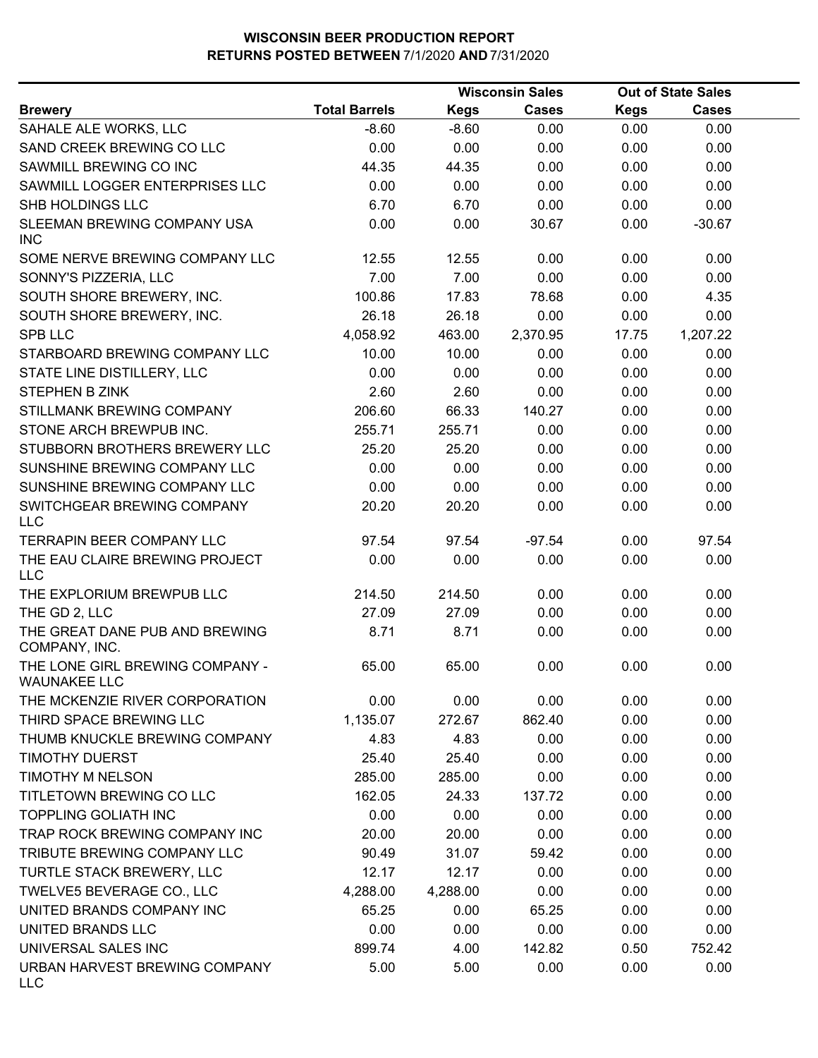|                                                        | <b>Wisconsin Sales</b> |             |              |             | <b>Out of State Sales</b> |  |
|--------------------------------------------------------|------------------------|-------------|--------------|-------------|---------------------------|--|
| <b>Brewery</b>                                         | <b>Total Barrels</b>   | <b>Kegs</b> | <b>Cases</b> | <b>Kegs</b> | <b>Cases</b>              |  |
| SAHALE ALE WORKS, LLC                                  | $-8.60$                | $-8.60$     | 0.00         | 0.00        | 0.00                      |  |
| SAND CREEK BREWING CO LLC                              | 0.00                   | 0.00        | 0.00         | 0.00        | 0.00                      |  |
| SAWMILL BREWING CO INC                                 | 44.35                  | 44.35       | 0.00         | 0.00        | 0.00                      |  |
| SAWMILL LOGGER ENTERPRISES LLC                         | 0.00                   | 0.00        | 0.00         | 0.00        | 0.00                      |  |
| SHB HOLDINGS LLC                                       | 6.70                   | 6.70        | 0.00         | 0.00        | 0.00                      |  |
| SLEEMAN BREWING COMPANY USA<br><b>INC</b>              | 0.00                   | 0.00        | 30.67        | 0.00        | $-30.67$                  |  |
| SOME NERVE BREWING COMPANY LLC                         | 12.55                  | 12.55       | 0.00         | 0.00        | 0.00                      |  |
| SONNY'S PIZZERIA, LLC                                  | 7.00                   | 7.00        | 0.00         | 0.00        | 0.00                      |  |
| SOUTH SHORE BREWERY, INC.                              | 100.86                 | 17.83       | 78.68        | 0.00        | 4.35                      |  |
| SOUTH SHORE BREWERY, INC.                              | 26.18                  | 26.18       | 0.00         | 0.00        | 0.00                      |  |
| <b>SPB LLC</b>                                         | 4,058.92               | 463.00      | 2,370.95     | 17.75       | 1,207.22                  |  |
| STARBOARD BREWING COMPANY LLC                          | 10.00                  | 10.00       | 0.00         | 0.00        | 0.00                      |  |
| STATE LINE DISTILLERY, LLC                             | 0.00                   | 0.00        | 0.00         | 0.00        | 0.00                      |  |
| <b>STEPHEN B ZINK</b>                                  | 2.60                   | 2.60        | 0.00         | 0.00        | 0.00                      |  |
| STILLMANK BREWING COMPANY                              | 206.60                 | 66.33       | 140.27       | 0.00        | 0.00                      |  |
| STONE ARCH BREWPUB INC.                                | 255.71                 | 255.71      | 0.00         | 0.00        | 0.00                      |  |
| STUBBORN BROTHERS BREWERY LLC                          | 25.20                  | 25.20       | 0.00         | 0.00        | 0.00                      |  |
| SUNSHINE BREWING COMPANY LLC                           | 0.00                   | 0.00        | 0.00         | 0.00        | 0.00                      |  |
| SUNSHINE BREWING COMPANY LLC                           | 0.00                   | 0.00        | 0.00         | 0.00        | 0.00                      |  |
| SWITCHGEAR BREWING COMPANY<br><b>LLC</b>               | 20.20                  | 20.20       | 0.00         | 0.00        | 0.00                      |  |
| <b>TERRAPIN BEER COMPANY LLC</b>                       | 97.54                  | 97.54       | $-97.54$     | 0.00        | 97.54                     |  |
| THE EAU CLAIRE BREWING PROJECT<br><b>LLC</b>           | 0.00                   | 0.00        | 0.00         | 0.00        | 0.00                      |  |
| THE EXPLORIUM BREWPUB LLC                              | 214.50                 | 214.50      | 0.00         | 0.00        | 0.00                      |  |
| THE GD 2, LLC                                          | 27.09                  | 27.09       | 0.00         | 0.00        | 0.00                      |  |
| THE GREAT DANE PUB AND BREWING<br>COMPANY, INC.        | 8.71                   | 8.71        | 0.00         | 0.00        | 0.00                      |  |
| THE LONE GIRL BREWING COMPANY -<br><b>WAUNAKEE LLC</b> | 65.00                  | 65.00       | 0.00         | 0.00        | 0.00                      |  |
| THE MCKENZIE RIVER CORPORATION                         | 0.00                   | 0.00        | 0.00         | 0.00        | 0.00                      |  |
| THIRD SPACE BREWING LLC                                | 1,135.07               | 272.67      | 862.40       | 0.00        | 0.00                      |  |
| THUMB KNUCKLE BREWING COMPANY                          | 4.83                   | 4.83        | 0.00         | 0.00        | 0.00                      |  |
| <b>TIMOTHY DUERST</b>                                  | 25.40                  | 25.40       | 0.00         | 0.00        | 0.00                      |  |
| <b>TIMOTHY M NELSON</b>                                | 285.00                 | 285.00      | 0.00         | 0.00        | 0.00                      |  |
| TITLETOWN BREWING CO LLC                               | 162.05                 | 24.33       | 137.72       | 0.00        | 0.00                      |  |
| <b>TOPPLING GOLIATH INC</b>                            | 0.00                   | 0.00        | 0.00         | 0.00        | 0.00                      |  |
| TRAP ROCK BREWING COMPANY INC                          | 20.00                  | 20.00       | 0.00         | 0.00        | 0.00                      |  |
| TRIBUTE BREWING COMPANY LLC                            | 90.49                  | 31.07       | 59.42        | 0.00        | 0.00                      |  |
| TURTLE STACK BREWERY, LLC                              | 12.17                  | 12.17       | 0.00         | 0.00        | 0.00                      |  |
| TWELVE5 BEVERAGE CO., LLC                              | 4,288.00               | 4,288.00    | 0.00         | 0.00        | 0.00                      |  |
| UNITED BRANDS COMPANY INC                              | 65.25                  | 0.00        | 65.25        | 0.00        | 0.00                      |  |
| UNITED BRANDS LLC                                      | 0.00                   | 0.00        | 0.00         | 0.00        | 0.00                      |  |
| UNIVERSAL SALES INC                                    | 899.74                 | 4.00        | 142.82       | 0.50        | 752.42                    |  |
| URBAN HARVEST BREWING COMPANY<br><b>LLC</b>            | 5.00                   | 5.00        | 0.00         | 0.00        | 0.00                      |  |